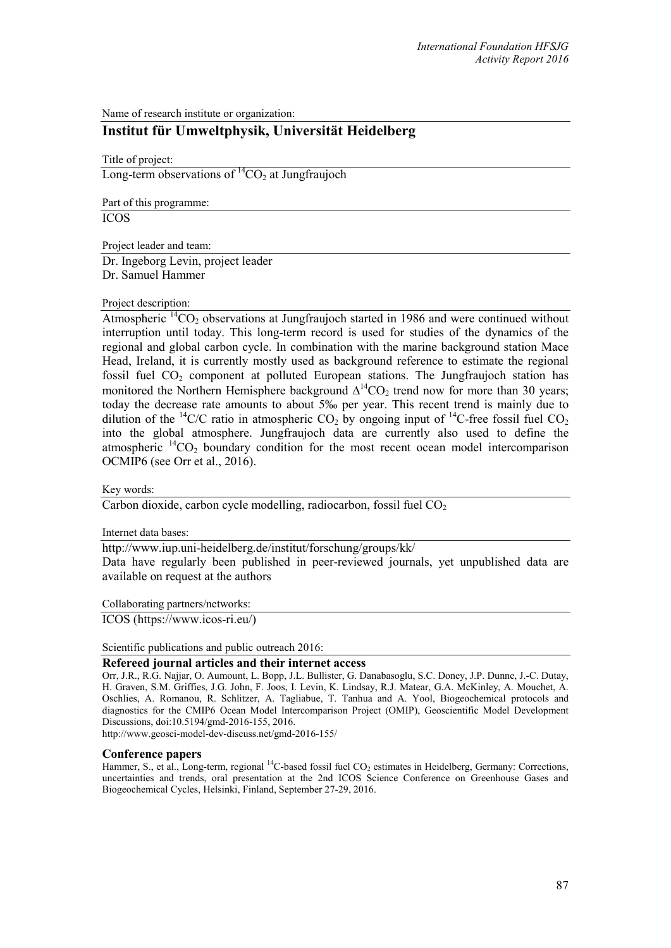Name of research institute or organization:

## **Institut für Umweltphysik, Universität Heidelberg**

Title of project:

Long-term observations of  ${}^{14}CO_2$  at Jungfraujoch

Part of this programme:

ICOS

Project leader and team:

Dr. Ingeborg Levin, project leader Dr. Samuel Hammer

## Project description:

Atmospheric  ${}^{14}CO_2$  observations at Jungfraujoch started in 1986 and were continued without interruption until today. This long-term record is used for studies of the dynamics of the regional and global carbon cycle. In combination with the marine background station Mace Head, Ireland, it is currently mostly used as background reference to estimate the regional fossil fuel  $CO<sub>2</sub>$  component at polluted European stations. The Jungfraujoch station has monitored the Northern Hemisphere background  $\Delta^{14}CO_2$  trend now for more than 30 years; today the decrease rate amounts to about 5‰ per year. This recent trend is mainly due to dilution of the <sup>14</sup>C/C ratio in atmospheric CO<sub>2</sub> by ongoing input of <sup>14</sup>C-free fossil fuel CO<sub>2</sub> into the global atmosphere. Jungfraujoch data are currently also used to define the atmospheric  ${}^{14}CO_2$  boundary condition for the most recent ocean model intercomparison OCMIP6 (see Orr et al., 2016).

Key words:

Carbon dioxide, carbon cycle modelling, radiocarbon, fossil fuel  $CO<sub>2</sub>$ 

Internet data bases:

http://www.iup.uni-heidelberg.de/institut/forschung/groups/kk/ Data have regularly been published in peer-reviewed journals, yet unpublished data are available on request at the authors

Collaborating partners/networks:

ICOS (https://www.icos-ri.eu/)

Scientific publications and public outreach 2016:

## **Refereed journal articles and their internet access**

Orr, J.R., R.G. Najjar, O. Aumount, L. Bopp, J.L. Bullister, G. Danabasoglu, S.C. Doney, J.P. Dunne, J.-C. Dutay, H. Graven, S.M. Griffies, J.G. John, F. Joos, I. Levin, K. Lindsay, R.J. Matear, G.A. McKinley, A. Mouchet, A. Oschlies, A. Romanou, R. Schlitzer, A. Tagliabue, T. Tanhua and A. Yool, Biogeochemical protocols and diagnostics for the CMIP6 Ocean Model Intercomparison Project (OMIP), Geoscientific Model Development Discussions, doi:10.5194/gmd-2016-155, 2016.

http://www.geosci-model-dev-discuss.net/gmd-2016-155/

## **Conference papers**

Hammer, S., et al., Long-term, regional <sup>14</sup>C-based fossil fuel CO<sub>2</sub> estimates in Heidelberg, Germany: Corrections, uncertainties and trends, oral presentation at the 2nd ICOS Science Conference on Greenhouse Gases and Biogeochemical Cycles, Helsinki, Finland, September 27-29, 2016.